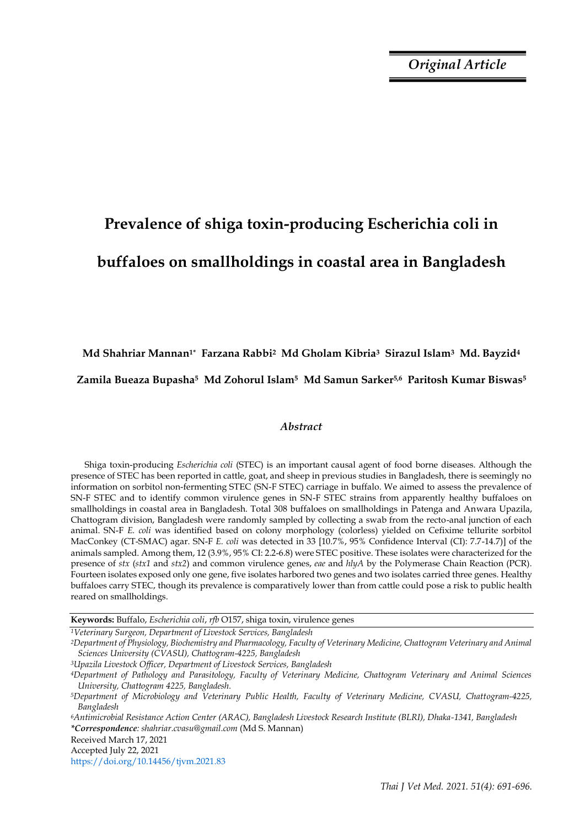# **Prevalence of shiga toxin-producing Escherichia coli in buffaloes on smallholdings in coastal area in Bangladesh**

## **Md Shahriar Mannan1\* Farzana Rabbi2 Md Gholam Kibria3 Sirazul Islam3 Md. Bayzid<sup>4</sup>**

## **Zamila Bueaza Bupasha5 Md Zohorul Islam5 Md Samun Sarker5,6 Paritosh Kumar Biswas<sup>5</sup>**

## *Abstract*

Shiga toxin-producing *Escherichia coli* (STEC) is an important causal agent of food borne diseases. Although the presence of STEC has been reported in cattle, goat, and sheep in previous studies in Bangladesh, there is seemingly no information on sorbitol non-fermenting STEC (SN-F STEC) carriage in buffalo. We aimed to assess the prevalence of SN-F STEC and to identify common virulence genes in SN-F STEC strains from apparently healthy buffaloes on smallholdings in coastal area in Bangladesh. Total 308 buffaloes on smallholdings in Patenga and Anwara Upazila, Chattogram division, Bangladesh were randomly sampled by collecting a swab from the recto-anal junction of each animal. SN-F *E. coli* was identified based on colony morphology (colorless) yielded on Cefixime tellurite sorbitol MacConkey (CT-SMAC) agar. SN-F *E. coli* was detected in 33 [10.7%, 95% Confidence Interval (CI): 7.7-14.7)] of the animals sampled. Among them, 12 (3.9%, 95% CI: 2.2-6.8) were STEC positive. These isolates were characterized for the presence of *stx* (*stx1* and *stx2*) and common virulence genes, *eae* and *hlyA* by the Polymerase Chain Reaction (PCR)*.* Fourteen isolates exposed only one gene, five isolates harbored two genes and two isolates carried three genes. Healthy buffaloes carry STEC, though its prevalence is comparatively lower than from cattle could pose a risk to public health reared on smallholdings.

**Keywords:** Buffalo, *Escherichia coli*, *rfb* O157, shiga toxin, virulence genes

*<sup>1</sup>Veterinary Surgeon, Department of Livestock Services, Bangladesh*

*<sup>2</sup>Department of Physiology, Biochemistry and Pharmacology, Faculty of Veterinary Medicine, Chattogram Veterinary and Animal Sciences University (CVASU), Chattogram-4225, Bangladesh*

*<sup>3</sup>Upazila Livestock Officer, Department of Livestock Services, Bangladesh*

*<sup>6</sup>Antimicrobial Resistance Action Center (ARAC), Bangladesh Livestock Research Institute (BLRI), Dhaka-1341, Bangladesh \*Correspondence: shahriar.cvasu@gmail.com* (Md S. Mannan)

Received March 17, 2021

Accepted July 22, 2021

https://doi.org/10.14456/tjvm.2021.83

*<sup>4</sup>Department of Pathology and Parasitology, Faculty of Veterinary Medicine, Chattogram Veterinary and Animal Sciences University, Chattogram 4225, Bangladesh.*

*<sup>5</sup>Department of Microbiology and Veterinary Public Health, Faculty of Veterinary Medicine, CVASU, Chattogram-4225, Bangladesh*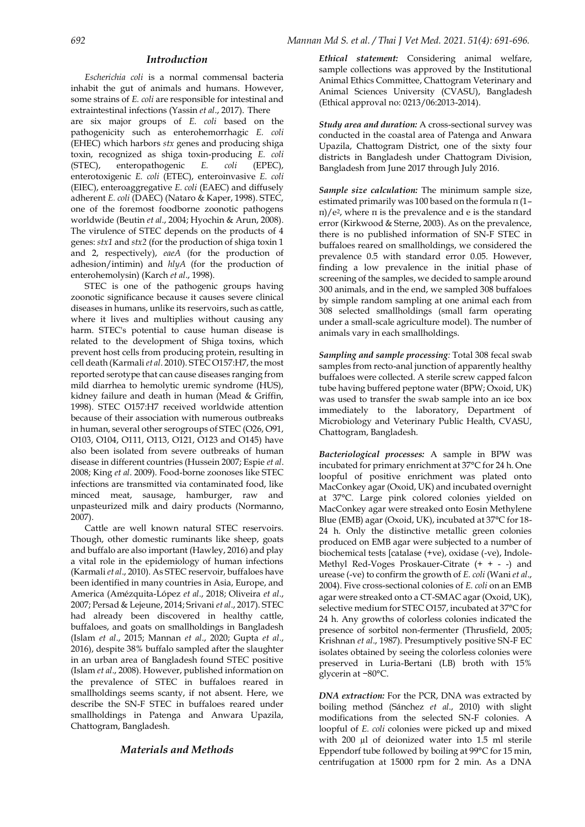## *Introduction*

*Escherichia coli* is a normal commensal bacteria inhabit the gut of animals and humans. However, some strains of *E. coli* are responsible for intestinal and extraintestinal infections (Yassin *et al*., 2017). There are six major groups of *E. coli* based on the pathogenicity such as enterohemorrhagic *E. coli* (EHEC) which harbors *stx* genes and producing shiga toxin, recognized as shiga toxin-producing *E. coli* (STEC), enteropathogenic *E. coli* (EPEC), enterotoxigenic *E. coli* (ETEC), enteroinvasive *E. coli* (EIEC), enteroaggregative *E. coli* (EAEC) and diffusely adherent *E. coli* (DAEC) (Nataro & Kaper, 1998). STEC, one of the foremost foodborne zoonotic pathogens worldwide (Beutin *et al*., 2004; Hyochin & Arun, 2008). The virulence of STEC depends on the products of 4 genes: *stx1* and *stx2* (for the production of shiga toxin 1 and 2, respectively), *eaeA* (for the production of adhesion/intimin) and *hlyA* (for the production of enterohemolysin) (Karch *et al*., 1998).

STEC is one of the pathogenic groups having zoonotic significance because it causes severe clinical diseases in humans, unlike its reservoirs, such as cattle, where it lives and multiplies without causing any harm. STEC's potential to cause human disease is related to the development of Shiga toxins, which prevent host cells from producing protein, resulting in cell death (Karmali *et al*. 2010). STEC O157:H7, the most reported serotype that can cause diseases ranging from mild diarrhea to hemolytic uremic syndrome (HUS), kidney failure and death in human (Mead & Griffin, 1998). STEC O157:H7 received worldwide attention because of their association with numerous outbreaks in human, several other serogroups of STEC (O26, O91, O103, O104, O111, O113, O121, O123 and O145) have also been isolated from severe outbreaks of human disease in different countries (Hussein 2007; Espie *et al*. 2008; King *et al*. 2009). Food-borne zoonoses like STEC infections are transmitted via contaminated food, like minced meat, sausage, hamburger, raw and unpasteurized milk and dairy products (Normanno, 2007).

Cattle are well known natural STEC reservoirs. Though, other domestic ruminants like sheep, goats and buffalo are also important (Hawley, 2016) and play a vital role in the epidemiology of human infections (Karmali *et al*., 2010). As STEC reservoir, buffaloes have been identified in many countries in Asia, Europe, and America (Amézquita-López *et al*., 2018; Oliveira *et al*., 2007; Persad & Lejeune, 2014; Srivani *et al*., 2017). STEC had already been discovered in healthy cattle, buffaloes, and goats on smallholdings in Bangladesh (Islam *et al*., 2015; Mannan *et al*., 2020; Gupta *et al*., 2016), despite 38% buffalo sampled after the slaughter in an urban area of Bangladesh found STEC positive (Islam *et al*., 2008). However, published information on the prevalence of STEC in buffaloes reared in smallholdings seems scanty, if not absent. Here, we describe the SN-F STEC in buffaloes reared under smallholdings in Patenga and Anwara Upazila, Chattogram, Bangladesh.

## *Materials and Methods*

*Ethical statement:* Considering animal welfare, sample collections was approved by the Institutional Animal Ethics Committee, Chattogram Veterinary and Animal Sciences University (CVASU), Bangladesh (Ethical approval no: 0213/06:2013-2014).

*Study area and duration:* A cross-sectional survey was conducted in the coastal area of Patenga and Anwara Upazila, Chattogram District, one of the sixty four districts in Bangladesh under Chattogram Division, Bangladesh from June 2017 through July 2016.

*Sample size calculation:* The minimum sample size, estimated primarily was 100 based on the formula π (1– π)/e2, where π is the prevalence and e is the standard error (Kirkwood & Sterne, 2003). As on the prevalence, there is no published information of SN-F STEC in buffaloes reared on smallholdings, we considered the prevalence 0.5 with standard error 0.05. However, finding a low prevalence in the initial phase of screening of the samples, we decided to sample around 300 animals, and in the end, we sampled 308 buffaloes by simple random sampling at one animal each from 308 selected smallholdings (small farm operating under a small-scale agriculture model). The number of animals vary in each smallholdings.

*Sampling and sample processing:* Total 308 fecal swab samples from recto-anal junction of apparently healthy buffaloes were collected. A sterile screw capped falcon tube having buffered peptone water (BPW; Oxoid, UK) was used to transfer the swab sample into an ice box immediately to the laboratory, Department of Microbiology and Veterinary Public Health, CVASU, Chattogram, Bangladesh.

*Bacteriological processes:* A sample in BPW was incubated for primary enrichment at 37°C for 24 h. One loopful of positive enrichment was plated onto MacConkey agar (Oxoid, UK) and incubated overnight at 37°C. Large pink colored colonies yielded on MacConkey agar were streaked onto Eosin Methylene Blue (EMB) agar (Oxoid, UK), incubated at 37°C for 18- 24 h. Only the distinctive metallic green colonies produced on EMB agar were subjected to a number of biochemical tests [catalase (+ve), oxidase (-ve), Indole-Methyl Red-Voges Proskauer-Citrate (+ + - -) and urease (-ve) to confirm the growth of *E. coli* (Wani *et al*., 2004). Five cross-sectional colonies of *E. coli* on an EMB agar were streaked onto a CT-SMAC agar (Oxoid, UK), selective medium for STEC O157, incubated at 37°C for 24 h. Any growths of colorless colonies indicated the presence of sorbitol non-fermenter (Thrusfield, 2005; Krishnan *et al*., 1987). Presumptively positive SN-F EC isolates obtained by seeing the colorless colonies were preserved in Luria-Bertani (LB) broth with 15% glycerin at −80°C.

*DNA extraction:* For the PCR, DNA was extracted by boiling method (Sánchez *et al*., 2010) with slight modifications from the selected SN-F colonies. A loopful of *E. coli* colonies were picked up and mixed with 200 µl of deionized water into 1.5 ml sterile Eppendorf tube followed by boiling at 99°C for 15 min, centrifugation at 15000 rpm for 2 min. As a DNA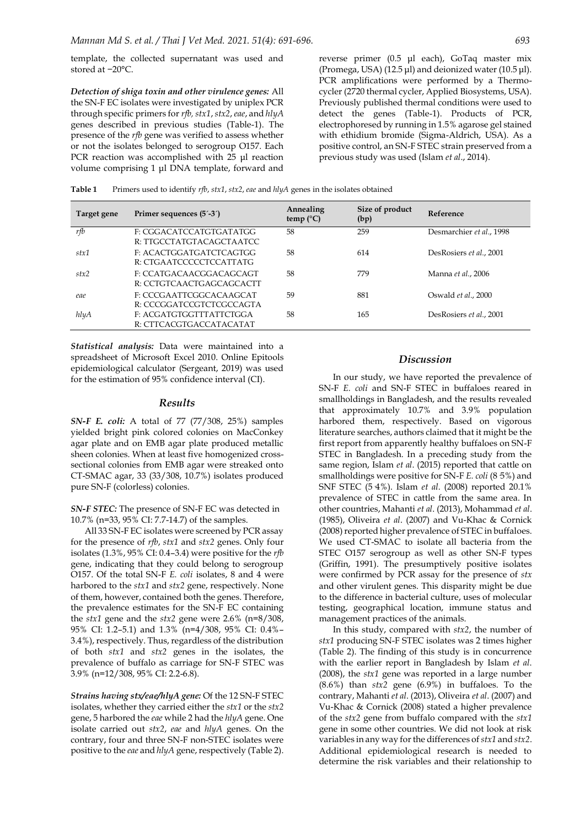template, the collected supernatant was used and stored at −20°C.

*Detection of shiga toxin and other virulence genes:* All the SN-F EC isolates were investigated by uniplex PCR through specific primers for *rfb, stx1*,*stx2*, *eae*, and *hlyA* genes described in previous studies (Table-1). The presence of the *rfb* gene was verified to assess whether or not the isolates belonged to serogroup O157. Each PCR reaction was accomplished with 25 μl reaction volume comprising 1 μl DNA template, forward and reverse primer (0.5 μl each), GoTaq master mix (Promega, USA) (12.5 μl) and deionized water (10.5 μl). PCR amplifications were performed by a Thermocycler (2720 thermal cycler, Applied Biosystems, USA). Previously published thermal conditions were used to detect the genes (Table-1). Products of PCR, electrophoresed by running in 1.5% agarose gel stained with ethidium bromide (Sigma-Aldrich, USA). As a positive control, an SN-F STEC strain preserved from a previous study was used (Islam *et al*., 2014).

**Target gene Primer sequences (5´-3´) Annealing Annealing temp (°C) Size of product (bp) Reference** *rfb* F: CGGACATCCATGTGATATGG R: TTGCCTATGTACAGCTAATCC 58 259 Desmarchier *et al*., 1998 *stx1* F: ACACTGGATGATCTCAGTGG R: CTGAATCCCCCTCCATTATG 58 614 DesRosiers *et al*., 2001 *stx2* F: CCATGACAACGGACAGCAGT R: CCTGTCAACTGAGCAGCACTT 58 779 Manna *et al*., 2006 *eae* F: CCCGAATTCGGCACAAGCAT R: CCCGGATCCGTCTCGCCAGTA 59 881 Oswald *et al*., 2000 *hlyA* F: ACGATGTGGTTTATTCTGGA 58 165 DesRosiers *et al*., 2001

**Table 1** Primers used to identify *rfb*, *stx1*, *stx2*, *eae* and *hlyA* genes in the isolates obtained

*Statistical analysis:* Data were maintained into a spreadsheet of Microsoft Excel 2010. Online Epitools epidemiological calculator (Sergeant, 2019) was used for the estimation of 95% confidence interval (CI).

R: CTTCACGTGACCATACATAT

### *Results*

*SN-F E. coli:* A total of 77 (77/308, 25%) samples yielded bright pink colored colonies on MacConkey agar plate and on EMB agar plate produced metallic sheen colonies. When at least five homogenized crosssectional colonies from EMB agar were streaked onto CT-SMAC agar, 33 (33/308, 10.7%) isolates produced pure SN-F (colorless) colonies.

*SN-F STEC:* The presence of SN-F EC was detected in 10.7% (n=33, 95% CI: 7.7-14.7) of the samples.

All 33 SN-F EC isolates were screened by PCR assay for the presence of *rfb*, *stx1* and *stx2* genes. Only four isolates (1.3%, 95% CI: 0.4–3.4) were positive for the *rfb*  gene, indicating that they could belong to serogroup O157. Of the total SN-F *E. coli* isolates, 8 and 4 were harbored to the *stx1* and *stx2* gene, respectively. None of them, however, contained both the genes. Therefore, the prevalence estimates for the SN-F EC containing the *stx1* gene and the *stx2* gene were 2.6% (n=8/308, 95% CI: 1.2–5.1) and 1.3% (n=4/308, 95% CI: 0.4%– 3.4%), respectively. Thus, regardless of the distribution of both *stx1* and *stx2* genes in the isolates, the prevalence of buffalo as carriage for SN-F STEC was 3.9% (n=12/308, 95% CI: 2.2-6.8).

*Strains having stx/eae/hlyA gene:* Of the 12 SN-F STEC isolates, whether they carried either the *stx1* or the *stx2* gene, 5 harbored the *eae* while 2 had the *hlyA* gene. One isolate carried out *stx2*, *eae* and *hlyA* genes. On the contrary, four and three SN-F non-STEC isolates were positive to the *eae* and *hlyA* gene, respectively (Table 2).

## *Discussion*

In our study, we have reported the prevalence of SN-F *E. coli* and SN-F STEC in buffaloes reared in smallholdings in Bangladesh, and the results revealed that approximately 10.7% and 3.9% population harbored them, respectively. Based on vigorous literature searches, authors claimed that it might be the first report from apparently healthy buffaloes on SN-F STEC in Bangladesh. In a preceding study from the same region, Islam *et al*. (2015) reported that cattle on smallholdings were positive for SN-F *E. coli* (8 5%) and SNF STEC (5·4%). Islam *et al*. (2008) reported 20.1% prevalence of STEC in cattle from the same area. In other countries, Mahanti *et al*. (2013), Mohammad *et al*. (1985), Oliveira *et al*. (2007) and Vu-Khac & Cornick (2008) reported higher prevalence of STEC in buffaloes. We used CT-SMAC to isolate all bacteria from the STEC O157 serogroup as well as other SN-F types (Griffin, 1991). The presumptively positive isolates were confirmed by PCR assay for the presence of *stx* and other virulent genes. This disparity might be due to the difference in bacterial culture, uses of molecular testing, geographical location, immune status and management practices of the animals.

In this study, compared with *stx2*, the number of *stx1* producing SN-F STEC isolates was 2 times higher (Table 2). The finding of this study is in concurrence with the earlier report in Bangladesh by Islam *et al*. (2008), the *stx1* gene was reported in a large number (8.6%) than *stx2* gene (6.9%) in buffaloes. To the contrary, Mahanti *et al*. (2013), Oliveira *et al*. (2007) and Vu-Khac & Cornick (2008) stated a higher prevalence of the *stx2* gene from buffalo compared with the *stx1* gene in some other countries. We did not look at risk variables in any way for the differences of *stx1* and *stx2*. Additional epidemiological research is needed to determine the risk variables and their relationship to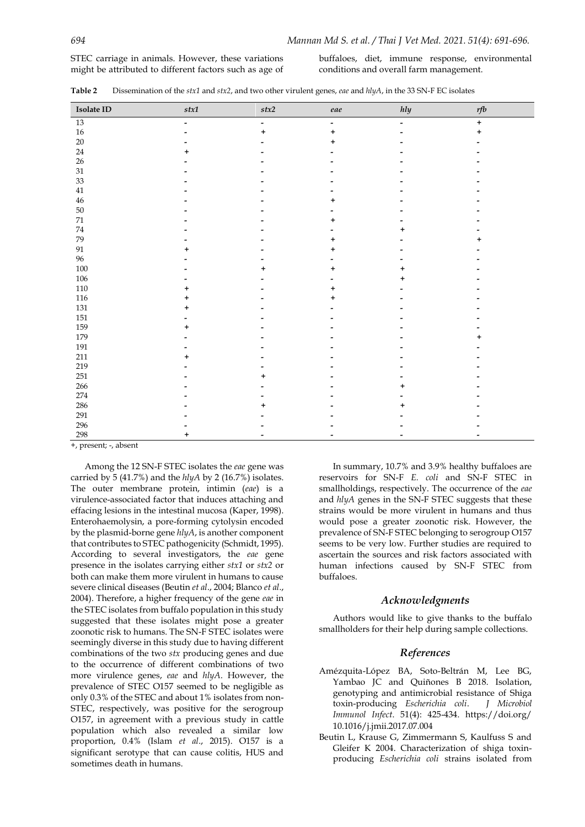STEC carriage in animals. However, these variations might be attributed to different factors such as age of

buffaloes, diet, immune response, environmental conditions and overall farm management.

| Table 2 | Dissemination of the stx1 and stx2, and two other virulent genes, eae and hlyA, in the 33 SN-F EC isolates |  |  |  |  |
|---------|------------------------------------------------------------------------------------------------------------|--|--|--|--|
|---------|------------------------------------------------------------------------------------------------------------|--|--|--|--|

| Isolate ID        | stx1                     | $stx2$         | eae                      | hly                          | $r\!fb$ |
|-------------------|--------------------------|----------------|--------------------------|------------------------------|---------|
| $\overline{13}$   | $\overline{\phantom{a}}$ | $\blacksquare$ | $\overline{\phantom{a}}$ | $\blacksquare$               | $+$     |
| $16\,$            |                          | $\ddot{}$      | +                        | $\qquad \qquad \blacksquare$ | +       |
| $20\,$            |                          |                | +                        |                              |         |
| $24\,$            | +                        |                |                          |                              |         |
| $26\,$            |                          |                |                          |                              |         |
| $31\,$            |                          |                |                          |                              |         |
| $33\,$            |                          |                |                          |                              |         |
| $41\,$            |                          |                |                          |                              |         |
| $\bf 46$          |                          |                |                          |                              |         |
| $50\,$            |                          |                |                          |                              |         |
| $71\,$            |                          |                |                          |                              |         |
| $74\,$            |                          |                |                          | +                            |         |
| 79                |                          |                |                          |                              |         |
| $\ensuremath{91}$ |                          |                |                          |                              |         |
| 96                |                          |                |                          |                              |         |
| $100\,$           |                          | $\ddot{}$      | +                        | ÷                            |         |
| $106\,$           |                          |                |                          | +                            |         |
| $110\,$           | $\ddot{}$                |                | ÷                        |                              |         |
| $116\,$           | +                        |                |                          |                              |         |
| $131\,$           | +                        |                |                          |                              |         |
| $151\,$           |                          |                |                          |                              |         |
| 159               | +                        |                |                          |                              |         |
| 179               |                          |                |                          |                              |         |
| $191\,$           |                          |                |                          |                              |         |
| $211\,$           |                          |                |                          |                              |         |
| 219               |                          |                |                          |                              |         |
| 251               |                          | +              |                          |                              |         |
| 266               |                          |                |                          | +                            |         |
| 274               |                          |                |                          |                              |         |
| 286               |                          | +              |                          | ÷                            |         |
| 291               |                          |                |                          |                              |         |
| 296               |                          |                |                          |                              |         |
| 298               |                          |                |                          |                              |         |

+, present; -, absent

Among the 12 SN-F STEC isolates the *eae* gene was carried by 5 (41.7%) and the *hlyA* by 2 (16.7%) isolates. The outer membrane protein, intimin (*eae*) is a virulence-associated factor that induces attaching and effacing lesions in the intestinal mucosa (Kaper, 1998). Enterohaemolysin, a pore-forming cytolysin encoded by the plasmid-borne gene *hlyA*, is another component that contributes to STEC pathogenicity (Schmidt, 1995). According to several investigators, the *eae* gene presence in the isolates carrying either *stx1* or *stx2* or both can make them more virulent in humans to cause severe clinical diseases (Beutin *et al*., 2004; Blanco *et al*., 2004). Therefore, a higher frequency of the gene *eae* in the STEC isolates from buffalo population in this study suggested that these isolates might pose a greater zoonotic risk to humans. The SN-F STEC isolates were seemingly diverse in this study due to having different combinations of the two *stx* producing genes and due to the occurrence of different combinations of two more virulence genes, *eae* and *hlyA*. However, the prevalence of STEC O157 seemed to be negligible as only 0.3% of the STEC and about 1% isolates from non-STEC, respectively, was positive for the serogroup O157, in agreement with a previous study in cattle population which also revealed a similar low proportion, 0.4% (Islam *et al*., 2015). O157 is a significant serotype that can cause colitis, HUS and sometimes death in humans.

In summary, 10.7% and 3.9% healthy buffaloes are reservoirs for SN-F *E. coli* and SN-F STEC in smallholdings, respectively. The occurrence of the *eae* and *hlyA* genes in the SN-F STEC suggests that these strains would be more virulent in humans and thus would pose a greater zoonotic risk. However, the prevalence of SN-F STEC belonging to serogroup O157 seems to be very low. Further studies are required to ascertain the sources and risk factors associated with human infections caused by SN-F STEC from buffaloes.

#### *Acknowledgments*

Authors would like to give thanks to the buffalo smallholders for their help during sample collections.

### *References*

- Amézquita-López BA, Soto-Beltrán M, Lee BG, Yambao JC and Quiñones B 2018. Isolation, genotyping and antimicrobial resistance of Shiga  $toxin-producing$  *Escherichia coli*. *Immunol Infect*. 51(4): 425-434. [https://doi.org/](https://doi.org/10.1016/j.jmii.2017.07.004) [10.1016/j.jmii.2017.07.004](https://doi.org/10.1016/j.jmii.2017.07.004)
- Beutin L, Krause G, Zimmermann S, Kaulfuss S and Gleifer K 2004. Characterization of shiga toxinproducing *Escherichia coli* strains isolated from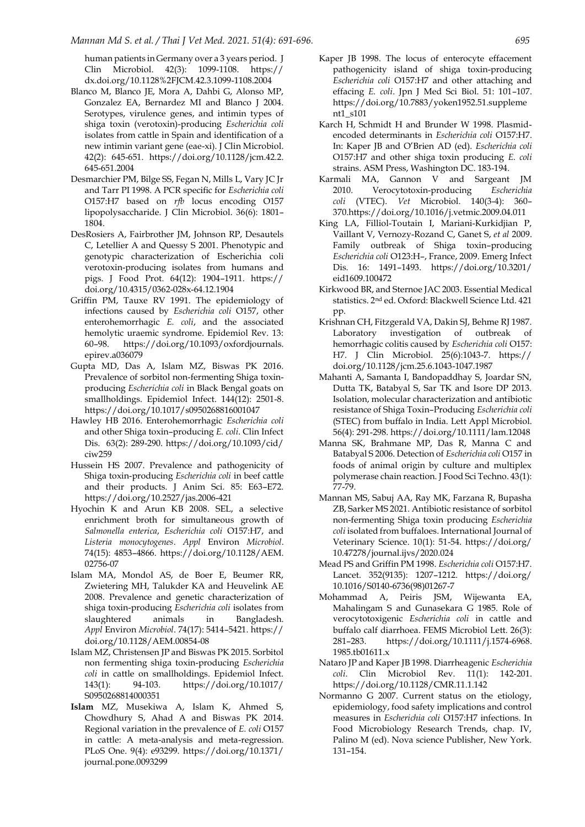human patients in Germany over a 3 years period. J Clin Microbiol. 42(3): 1099-1108. [https://](https://dx.doi.org/10.1128%2FJCM.42.3.1099-1108.2004) [dx.doi.org/10.1128%2FJCM.42.3.1099-1108.2004](https://dx.doi.org/10.1128%2FJCM.42.3.1099-1108.2004)

- Blanco M, Blanco JE, Mora A, Dahbi G, Alonso MP, Gonzalez EA, Bernardez MI and Blanco J 2004. Serotypes, virulence genes, and intimin types of shiga toxin (verotoxin)-producing *Escherichia coli*  isolates from cattle in Spain and identification of a new intimin variant gene (eae-xi). J Clin Microbiol. 42(2): 645-651. [https://doi.org/10.1128/jcm.42.2.](https://doi.org/10.1128/jcm.42.2.645-651.2004) [645-651.2004](https://doi.org/10.1128/jcm.42.2.645-651.2004)
- Desmarchier PM, Bilge SS, Fegan N, Mills L, Vary JC Jr and Tarr PI 1998. A PCR specific for *Escherichia coli* O157:H7 based on *rfb* locus encoding O157 lipopolysaccharide. J Clin Microbiol. 36(6): 1801– 1804.
- DesRosiers A, Fairbrother JM, Johnson RP, Desautels C, Letellier A and Quessy S 2001. Phenotypic and genotypic characterization of Escherichia coli verotoxin-producing isolates from humans and pigs. J Food Prot. 64(12): 1904–1911. [https://](https://doi.org/10.4315/0362-028x-64.12.1904) [doi.org/10.4315/0362-028x-64.12.1904](https://doi.org/10.4315/0362-028x-64.12.1904)
- Griffin PM, Tauxe RV 1991. The epidemiology of infections caused by *Escherichia coli* O157, other enterohemorrhagic *E. coli*, and the associated hemolytic uraemic syndrome. Epidemiol Rev. 13: 60–98. [https://doi.org/10.1093/oxfordjournals.](https://doi.org/10.1093/oxfordjournals.epirev.a036079) [epirev.a036079](https://doi.org/10.1093/oxfordjournals.epirev.a036079)
- Gupta MD, Das A, Islam MZ, Biswas PK 2016. Prevalence of sorbitol non-fermenting Shiga toxinproducing *Escherichia coli* in Black Bengal goats on smallholdings. Epidemiol Infect. 144(12): 2501-8. <https://doi.org/10.1017/s0950268816001047>
- Hawley HB 2016. Enterohemorrhagic *Escherichia coli*  and other Shiga toxin–producing *E. coli*. Clin Infect Dis. 63(2): 289-290. [https://doi.org/10.1093/cid/](https://doi.org/10.1093/cid/ciw259) [ciw259](https://doi.org/10.1093/cid/ciw259)
- Hussein HS 2007. Prevalence and pathogenicity of Shiga toxin-producing *Escherichia coli* in beef cattle and their products. J Anim Sci. 85: E63–E72. <https://doi.org/10.2527/jas.2006-421>
- Hyochin K and Arun KB 2008. SEL, a selective enrichment broth for simultaneous growth of *Salmonella enterica*, *Escherichia coli* O157:H7, and *Listeria monocytogenes*. *Appl* Environ *Microbiol*. 74(15): 4853–4866. [https://doi.org/10.1128/AEM.](https://doi.org/10.1128/AEM.02756-07) [02756-07](https://doi.org/10.1128/AEM.02756-07)
- Islam MA, Mondol AS, de Boer E, Beumer RR, Zwietering MH, Talukder KA and Heuvelink AE 2008. Prevalence and genetic characterization of shiga toxin-producing *Escherichia coli* isolates from slaughtered animals in Bangladesh. *Appl* Environ *Microbiol*. 74(17): 5414–5421. [https://](https://doi.org/10.1128/AEM.00854-08) [doi.org/10.1128/AEM.00854-08](https://doi.org/10.1128/AEM.00854-08)
- Islam MZ, Christensen JP and Biswas PK 2015. Sorbitol non fermenting shiga toxin-producing *Escherichia coli* in cattle on smallholdings. Epidemiol Infect. 143(1): 94-103. [https://doi.org/10.1017/](https://doi.org/10.1017/S0950268814000351) [S0950268814000351](https://doi.org/10.1017/S0950268814000351)
- **Islam** MZ, Musekiwa A, Islam K, Ahmed S, Chowdhury S, Ahad A and Biswas PK 2014. Regional variation in the prevalence of *E. coli* O157 in cattle: A meta-analysis and meta-regression. PLoS One. 9(4): e93299. [https://doi.org/10.1371/](https://doi.org/10.1371/journal.pone.0093299) [journal.pone.0093299](https://doi.org/10.1371/journal.pone.0093299)
- Kaper JB 1998. The locus of enterocyte effacement pathogenicity island of shiga toxin-producing *Escherichia coli* O157:H7 and other attaching and effacing *E. coli*. Jpn J Med Sci Biol. 51: 101–107. [https://doi.org/10.7883/yoken1952.51.suppleme](https://doi.org/10.7883/yoken1952.51.supplement1_s101) [nt1\\_s101](https://doi.org/10.7883/yoken1952.51.supplement1_s101)
- Karch H, Schmidt H and Brunder W 1998. Plasmidencoded determinants in *Escherichia coli* O157:H7. In: Kaper JB and O'Brien AD (ed). *Escherichia coli* O157:H7 and other shiga toxin producing *E. coli* strains. ASM Press, Washington DC. 183-194.
- Karmali MA, Gannon V and Sargeant JM 2010. Verocytotoxin-producing *Escherichia coli* (VTEC). *Vet* Microbiol. 140(3-4): 360– 37[0.https://doi.org/10.1016/j.vetmic.2009.04.011](https://doi.org/10.1016/j.vetmic.2009.04.011)
- King LA, Filliol-Toutain I, Mariani-Kurkidjian P, Vaillant V, Vernozy-Rozand C, Ganet S, *et al* 2009. Family outbreak of Shiga toxin–producing *Escherichia coli* O123:H–, France, 2009. Emerg Infect Dis. 16: 1491–1493. [https://doi.org/10.3201/](https://doi.org/10.3201/eid1609.100472) [eid1609.100472](https://doi.org/10.3201/eid1609.100472)
- Kirkwood BR, and Sternoe JAC 2003. Essential Medical statistics. 2nd ed. Oxford: Blackwell Science Ltd. 421 pp.
- Krishnan CH, Fitzgerald VA, Dakin SJ, Behme RJ 1987. Laboratory investigation of outbreak of hemorrhagic colitis caused by *Escherichia coli* O157: H7. J Clin Microbiol. 25(6):1043-7. [https://](https://doi.org/10.1128/jcm.25.6.1043-1047.1987) [doi.org/10.1128/jcm.25.6.1043-1047.1987](https://doi.org/10.1128/jcm.25.6.1043-1047.1987)
- Mahanti A, Samanta I, Bandopaddhay S, Joardar SN, Dutta TK, Batabyal S, Sar TK and Isore DP 2013. Isolation, molecular characterization and antibiotic resistance of Shiga Toxin–Producing *Escherichia coli* (STEC) from buffalo in India. Lett Appl Microbiol. 56(4): 291-298[. https://doi.org/10.1111/lam.12048](https://doi.org/10.1111/lam.12048)
- Manna SK, Brahmane MP, Das R, Manna C and Batabyal S 2006. Detection of *Escherichia coli* O157 in foods of animal origin by culture and multiplex polymerase chain reaction. J Food Sci Techno. 43(1): 77-79.
- Mannan MS, Sabuj AA, Ray MK, Farzana R, Bupasha ZB, Sarker MS 2021. Antibiotic resistance of sorbitol non-fermenting Shiga toxin producing *Escherichia coli* isolated from buffaloes. International Journal of Veterinary Science. 10(1): 51-54. [https://doi.org/](https://doi.org/10.47278/journal.ijvs/2020.024) [10.47278/journal.ijvs/2020.024](https://doi.org/10.47278/journal.ijvs/2020.024)
- Mead PS and Griffin PM 1998. *Escherichia coli* O157:H7. Lancet. 352(9135): 1207–1212. [https://doi.org/](https://doi.org/10.1016/S0140-6736(98)01267-7) [10.1016/S0140-6736\(98\)01267-7](https://doi.org/10.1016/S0140-6736(98)01267-7)
- Mohammad A, Peiris JSM, Wijewanta EA, Mahalingam S and Gunasekara G 1985. Role of verocytotoxigenic *Escherichia coli* in cattle and buffalo calf diarrhoea. FEMS Microbiol Lett. 26(3): 281–283. [https://doi.org/10.1111/j.1574-6968.](https://doi.org/10.1111/j.1574-6968.1985.tb01611.x) [1985.tb01611.x](https://doi.org/10.1111/j.1574-6968.1985.tb01611.x)
- Nataro JP and Kaper JB 1998. Diarrheagenic *Escherichia coli*. Clin Microbiol Rev. 11(1): 142-201. <https://doi.org/10.1128/CMR.11.1.142>
- Normanno G 2007. Current status on the etiology, epidemiology, food safety implications and control measures in *Escherichia coli* O157:H7 infections. In Food Microbiology Research Trends, chap. IV, Palino M (ed). Nova science Publisher, New York. 131–154.